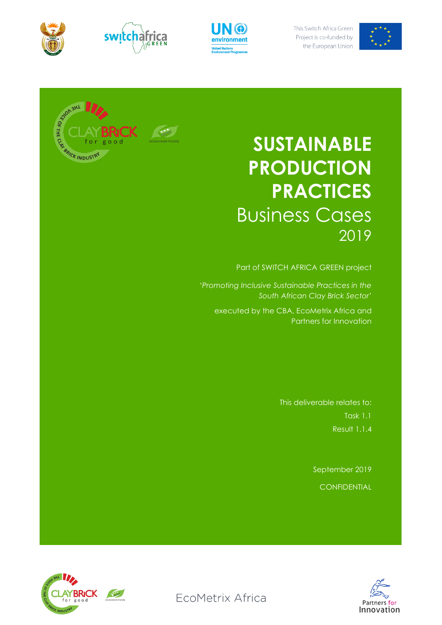









# **SUSTAINABLE PRODUCTION PRACTICES** Business Cases 2019

Part of SWITCH AFRICA GREEN project

'*Promoting Inclusive Sustainable Practices in the South African Clay Brick Sector*'

executed by the CBA, EcoMetrix Africa and Partners for Innovation

> This deliverable relates to: Task 1.1 Result 1.1.4

> > September 2019 **CONFIDENTIAL**



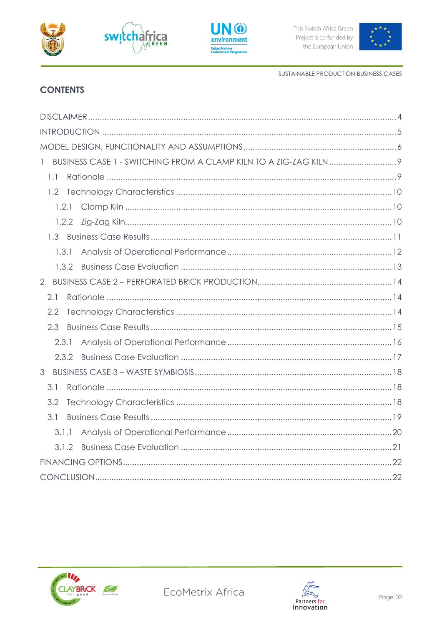







SUSTAINABLE PRODUCTION BUSINESS CASES

# **CONTENTS**

| $\mathbb{I}$   |  |
|----------------|--|
| 1.1            |  |
| 1.2            |  |
|                |  |
|                |  |
|                |  |
| 1.3.1          |  |
|                |  |
| $\overline{2}$ |  |
| 2.1            |  |
| 2.2            |  |
| 2.3            |  |
| 2.3.1          |  |
| 2.3.2          |  |
| 3              |  |
| 3.1            |  |
| 3.2            |  |
| 3.1            |  |
| 3.1.1          |  |
|                |  |
|                |  |
|                |  |



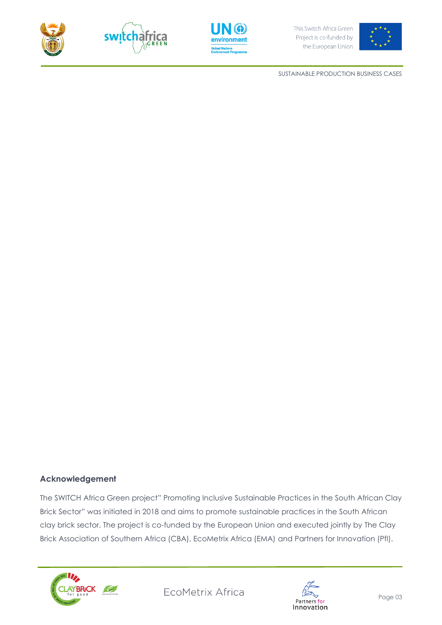







SUSTAINABLE PRODUCTION BUSINESS CASES

#### **Acknowledgement**

The SWITCH Africa Green project" Promoting Inclusive Sustainable Practices in the South African Clay Brick Sector" was initiated in 2018 and aims to promote sustainable practices in the South African clay brick sector. The project is co-funded by the European Union and executed jointly by The Clay Brick Association of Southern Africa (CBA), EcoMetrix Africa (EMA) and Partners for Innovation (PfI).



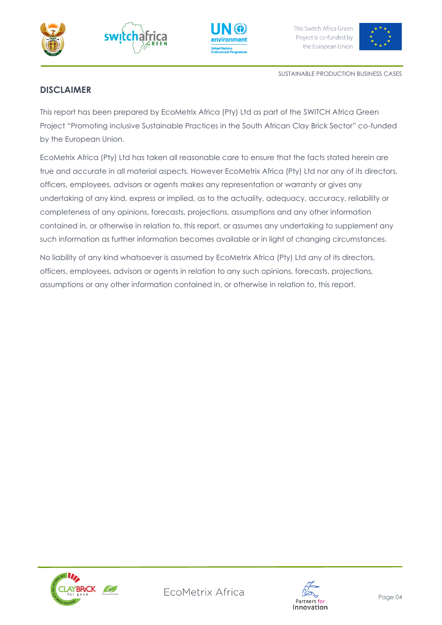







SUSTAINABLE PRODUCTION BUSINESS CASES

# <span id="page-3-0"></span>**DISCLAIMER**

This report has been prepared by EcoMetrix Africa (Pty) Ltd as part of the SWITCH Africa Green Project "Promoting inclusive Sustainable Practices in the South African Clay Brick Sector" co-funded by the European Union.

EcoMetrix Africa (Pty) Ltd has taken all reasonable care to ensure that the facts stated herein are true and accurate in all material aspects. However EcoMetrix Africa (Pty) Ltd nor any of its directors, officers, employees, advisors or agents makes any representation or warranty or gives any undertaking of any kind, express or implied, as to the actuality, adequacy, accuracy, reliability or completeness of any opinions, forecasts, projections, assumptions and any other information contained in, or otherwise in relation to, this report, or assumes any undertaking to supplement any such information as further information becomes available or in light of changing circumstances.

No liability of any kind whatsoever is assumed by EcoMetrix Africa (Pty) Ltd any of its directors, officers, employees, advisors or agents in relation to any such opinions, forecasts, projections, assumptions or any other information contained in, or otherwise in relation to, this report.



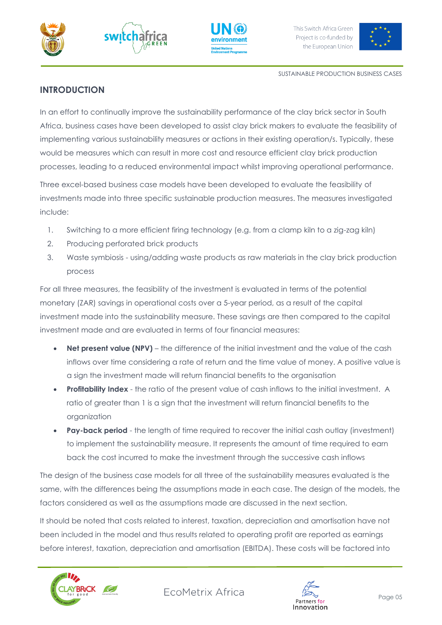







## <span id="page-4-0"></span>**INTRODUCTION**

In an effort to continually improve the sustainability performance of the clay brick sector in South Africa, business cases have been developed to assist clay brick makers to evaluate the feasibility of implementing various sustainability measures or actions in their existing operation/s. Typically, these would be measures which can result in more cost and resource efficient clay brick production processes, leading to a reduced environmental impact whilst improving operational performance.

Three excel-based business case models have been developed to evaluate the feasibility of investments made into three specific sustainable production measures. The measures investigated include:

- 1. Switching to a more efficient firing technology (e.g. from a clamp kiln to a zig-zag kiln)
- 2. Producing perforated brick products
- 3. Waste symbiosis using/adding waste products as raw materials in the clay brick production process

For all three measures, the feasibility of the investment is evaluated in terms of the potential monetary (ZAR) savings in operational costs over a 5-year period, as a result of the capital investment made into the sustainability measure. These savings are then compared to the capital investment made and are evaluated in terms of four financial measures:

- **Net present value (NPV)** the difference of the initial investment and the value of the cash inflows over time considering a rate of return and the time value of money. A positive value is a sign the investment made will return financial benefits to the organisation
- **Profitability Index** the ratio of the present value of cash inflows to the initial investment. A ratio of greater than 1 is a sign that the investment will return financial benefits to the organization
- **Pay-back period** the length of time required to recover the initial cash outlay (investment) to implement the sustainability measure. It represents the amount of time required to earn back the cost incurred to make the investment through the successive cash inflows

The design of the business case models for all three of the sustainability measures evaluated is the same, with the differences being the assumptions made in each case. The design of the models, the factors considered as well as the assumptions made are discussed in the next section.

It should be noted that costs related to interest, taxation, depreciation and amortisation have not been included in the model and thus results related to operating profit are reported as earnings before interest, taxation, depreciation and amortisation (EBITDA). These costs will be factored into





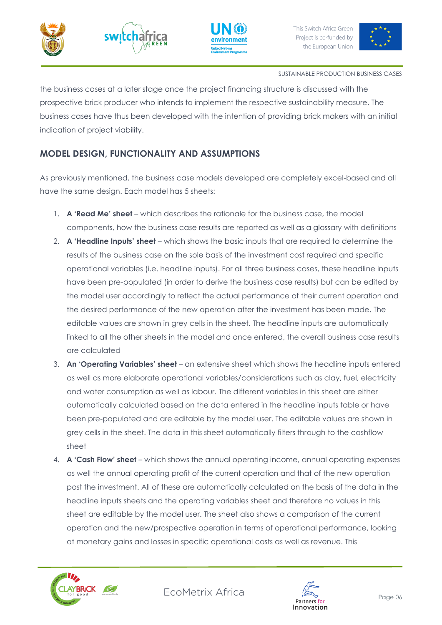







#### SUSTAINABLE PRODUCTION BUSINESS CASES

the business cases at a later stage once the project financing structure is discussed with the prospective brick producer who intends to implement the respective sustainability measure. The business cases have thus been developed with the intention of providing brick makers with an initial indication of project viability.

# <span id="page-5-0"></span>**MODEL DESIGN, FUNCTIONALITY AND ASSUMPTIONS**

As previously mentioned, the business case models developed are completely excel-based and all have the same design. Each model has 5 sheets:

- 1. **A 'Read Me' sheet** which describes the rationale for the business case, the model components, how the business case results are reported as well as a glossary with definitions
- 2. **A 'Headline Inputs' sheet** which shows the basic inputs that are required to determine the results of the business case on the sole basis of the investment cost required and specific operational variables (i.e. headline inputs). For all three business cases, these headline inputs have been pre-populated (in order to derive the business case results) but can be edited by the model user accordingly to reflect the actual performance of their current operation and the desired performance of the new operation after the investment has been made. The editable values are shown in grey cells in the sheet. The headline inputs are automatically linked to all the other sheets in the model and once entered, the overall business case results are calculated
- 3. **An 'Operating Variables' sheet** an extensive sheet which shows the headline inputs entered as well as more elaborate operational variables/considerations such as clay, fuel, electricity and water consumption as well as labour. The different variables in this sheet are either automatically calculated based on the data entered in the headline inputs table or have been pre-populated and are editable by the model user. The editable values are shown in grey cells in the sheet. The data in this sheet automatically filters through to the cashflow sheet
- 4. **A 'Cash Flow' sheet** which shows the annual operating income, annual operating expenses as well the annual operating profit of the current operation and that of the new operation post the investment. All of these are automatically calculated on the basis of the data in the headline inputs sheets and the operating variables sheet and therefore no values in this sheet are editable by the model user. The sheet also shows a comparison of the current operation and the new/prospective operation in terms of operational performance, looking at monetary gains and losses in specific operational costs as well as revenue. This



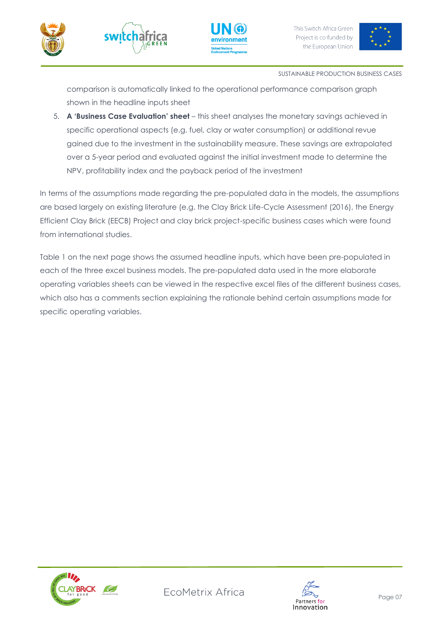







comparison is automatically linked to the operational performance comparison graph shown in the headline inputs sheet

5. **A 'Business Case Evaluation' sheet** – this sheet analyses the monetary savings achieved in specific operational aspects (e.g. fuel, clay or water consumption) or additional revue gained due to the investment in the sustainability measure. These savings are extrapolated over a 5-year period and evaluated against the initial investment made to determine the NPV, profitability index and the payback period of the investment

In terms of the assumptions made regarding the pre-populated data in the models, the assumptions are based largely on existing literature (e.g. the Clay Brick Life-Cycle Assessment (2016), the Energy Efficient Clay Brick (EECB) Project and clay brick project-specific business cases which were found from international studies.

Table 1 on the next page shows the assumed headline inputs, which have been pre-populated in each of the three excel business models. The pre-populated data used in the more elaborate operating variables sheets can be viewed in the respective excel files of the different business cases, which also has a comments section explaining the rationale behind certain assumptions made for specific operating variables.



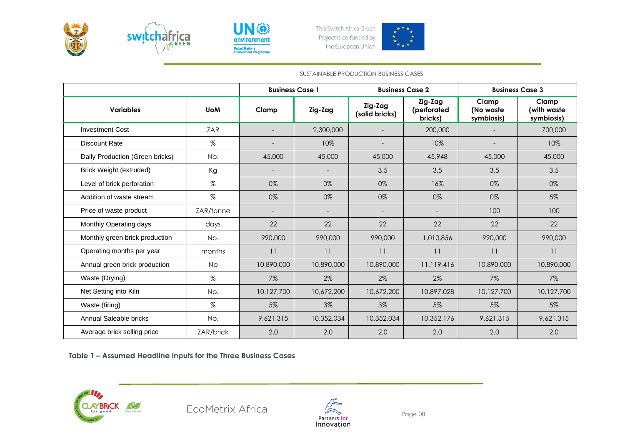



UN ® environment **United Nations<br>Environment Prog** 



L

#### SUSTAINABLE PRODUCTION BUSINESS CASES

|                                 |            | <b>Business Case 1</b> |            | <b>Business Case 2</b>    |                                   | <b>Business Case 3</b>           |                                    |
|---------------------------------|------------|------------------------|------------|---------------------------|-----------------------------------|----------------------------------|------------------------------------|
| <b>Variables</b>                | <b>UoM</b> | Clamp                  | Zig-Zag    | Zig-Zag<br>(solid bricks) | Zig-Zag<br>(perforated<br>bricks) | Clamp<br>(No waste<br>symbiosis) | Clamp<br>(with waste<br>symbiosis) |
| <b>Investment Cost</b>          | ZAR        |                        | 2,300,000  |                           | 200,000                           |                                  | 700,000                            |
| <b>Discount Rate</b>            | $\%$       |                        | 10%        |                           | 10%                               |                                  | 10%                                |
| Daily Production (Green bricks) | No.        | 45,000                 | 45,000     | 45,000                    | 45,948                            | 45,000                           | 45,000                             |
| Brick Weight (extruded)         | Kg         |                        |            | 3.5                       | 3.5                               | 3.5                              | 3.5                                |
| Level of brick perforation      | %          | 0%                     | 0%         | 0%                        | 16%                               | 0%                               | 0%                                 |
| Addition of waste stream        | %          | 0%                     | 0%         | 0%                        | 0%                                | 0%                               | 5%                                 |
| Price of waste product          | ZAR/tonne  |                        |            |                           |                                   | 100                              | 100                                |
| Monthly Operating days          | days       | 22                     | 22         | 22                        | 22                                | 22                               | 22                                 |
| Monthly green brick production  | No.        | 990,000                | 990,000    | 990,000                   | 1,010,856                         | 990,000                          | 990,000                            |
| Operating months per year       | months     | 11                     | 11         | 11                        | 11                                | 11                               | 11                                 |
| Annual green brick production   | <b>No</b>  | 10,890,000             | 10,890,000 | 10,890,000                | 11,119,416                        | 10,890,000                       | 10,890,000                         |
| Waste (Drying)                  | %          | 7%                     | 2%         | $2\%$                     | $2\%$                             | $7\%$                            | $7\%$                              |
| Net Setting into Kiln           | No.        | 10,127,700             | 10,672,200 | 10,672,200                | 10,897,028                        | 10,127,700                       | 10,127,700                         |
| Waste (firing)                  | %          | 5%                     | 3%         | 3%                        | 5%                                | 5%                               | 5%                                 |
| Annual Saleable bricks          | No.        | 9,621,315              | 10,352,034 | 10,352,034                | 10,352,176                        | 9,621,315                        | 9,621,315                          |
| Average brick selling price     | ZAR/brick  | 2.0                    | 2.0        | 2.0                       | 2.0                               | 2.0                              | 2.0                                |

**Table 1 – Assumed Headline Inputs for the Three Business Cases**



EcoMetrix Africa



Page 08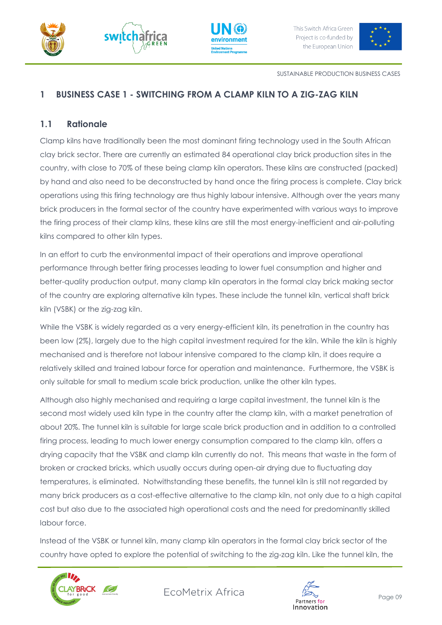







SUSTAINABLE PRODUCTION BUSINESS CASES

# <span id="page-8-0"></span>**1 BUSINESS CASE 1 - SWITCHING FROM A CLAMP KILN TO A ZIG-ZAG KILN**

## <span id="page-8-1"></span>**1.1 Rationale**

Clamp kilns have traditionally been the most dominant firing technology used in the South African clay brick sector. There are currently an estimated 84 operational clay brick production sites in the country, with close to 70% of these being clamp kiln operators. These kilns are constructed (packed) by hand and also need to be deconstructed by hand once the firing process is complete. Clay brick operations using this firing technology are thus highly labour intensive. Although over the years many brick producers in the formal sector of the country have experimented with various ways to improve the firing process of their clamp kilns, these kilns are still the most energy-inefficient and air-polluting kilns compared to other kiln types.

In an effort to curb the environmental impact of their operations and improve operational performance through better firing processes leading to lower fuel consumption and higher and better-quality production output, many clamp kiln operators in the formal clay brick making sector of the country are exploring alternative kiln types. These include the tunnel kiln, vertical shaft brick kiln (VSBK) or the zig-zag kiln.

While the VSBK is widely regarded as a very energy-efficient kiln, its penetration in the country has been low (2%), largely due to the high capital investment required for the kiln. While the kiln is highly mechanised and is therefore not labour intensive compared to the clamp kiln, it does require a relatively skilled and trained labour force for operation and maintenance. Furthermore, the VSBK is only suitable for small to medium scale brick production, unlike the other kiln types.

Although also highly mechanised and requiring a large capital investment, the tunnel kiln is the second most widely used kiln type in the country after the clamp kiln, with a market penetration of about 20%. The tunnel kiln is suitable for large scale brick production and in addition to a controlled firing process, leading to much lower energy consumption compared to the clamp kiln, offers a drying capacity that the VSBK and clamp kiln currently do not. This means that waste in the form of broken or cracked bricks, which usually occurs during open-air drying due to fluctuating day temperatures, is eliminated. Notwithstanding these benefits, the tunnel kiln is still not regarded by many brick producers as a cost-effective alternative to the clamp kiln, not only due to a high capital cost but also due to the associated high operational costs and the need for predominantly skilled labour force.

Instead of the VSBK or tunnel kiln, many clamp kiln operators in the formal clay brick sector of the country have opted to explore the potential of switching to the zig-zag kiln. Like the tunnel kiln, the



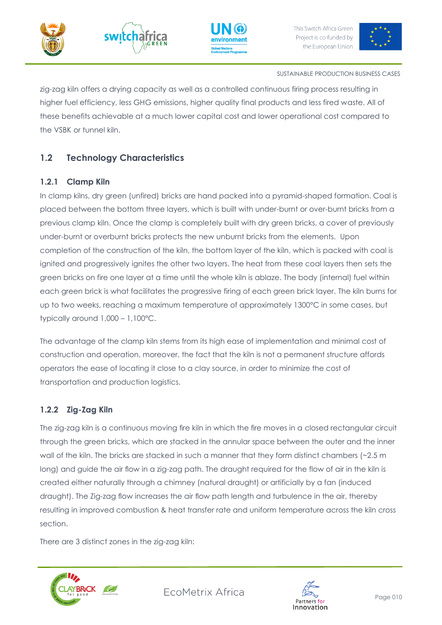







#### SUSTAINABLE PRODUCTION BUSINESS CASES

zig-zag kiln offers a drying capacity as well as a controlled continuous firing process resulting in higher fuel efficiency, less GHG emissions, higher quality final products and less fired waste. All of these benefits achievable at a much lower capital cost and lower operational cost compared to the VSBK or tunnel kiln.

# <span id="page-9-0"></span>**1.2 Technology Characteristics**

## <span id="page-9-1"></span>**1.2.1 Clamp Kiln**

In clamp kilns, dry green (unfired) bricks are hand packed into a pyramid-shaped formation. Coal is placed between the bottom three layers, which is built with under-burnt or over-burnt bricks from a previous clamp kiln. Once the clamp is completely built with dry green bricks, a cover of previously under-burnt or overburnt bricks protects the new unburnt bricks from the elements. Upon completion of the construction of the kiln, the bottom layer of the kiln, which is packed with coal is ignited and progressively ignites the other two layers. The heat from these coal layers then sets the green bricks on fire one layer at a time until the whole kiln is ablaze. The body (internal) fuel within each green brick is what facilitates the progressive firing of each green brick layer. The kiln burns for up to two weeks, reaching a maximum temperature of approximately 1300°C in some cases, but typically around 1,000 – 1,100°C.

The advantage of the clamp kiln stems from its high ease of implementation and minimal cost of construction and operation, moreover, the fact that the kiln is not a permanent structure affords operators the ease of locating it close to a clay source, in order to minimize the cost of transportation and production logistics.

## <span id="page-9-2"></span>**1.2.2 Zig-Zag Kiln**

The zig-zag kiln is a continuous moving fire kiln in which the fire moves in a closed rectangular circuit through the green bricks, which are stacked in the annular space between the outer and the inner wall of the kiln. The bricks are stacked in such a manner that they form distinct chambers (~2.5 m long) and guide the air flow in a zig-zag path. The draught required for the flow of air in the kiln is created either naturally through a chimney (natural draught) or artificially by a fan (induced draught). The Zig-zag flow increases the air flow path length and turbulence in the air, thereby resulting in improved combustion & heat transfer rate and uniform temperature across the kiln cross section.

There are 3 distinct zones in the zig-zag kiln:



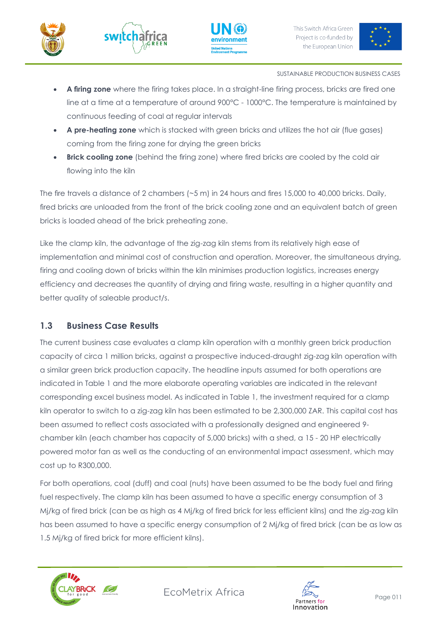







- **A firing zone** where the firing takes place. In a straight-line firing process, bricks are fired one line at a time at a temperature of around 900°C - 1000°C. The temperature is maintained by continuous feeding of coal at regular intervals
- **A pre-heating zone** which is stacked with green bricks and utilizes the hot air (flue gases) coming from the firing zone for drying the green bricks
- **Brick cooling zone** (behind the firing zone) where fired bricks are cooled by the cold air flowing into the kiln

The fire travels a distance of 2 chambers (~5 m) in 24 hours and fires 15,000 to 40,000 bricks. Daily, fired bricks are unloaded from the front of the brick cooling zone and an equivalent batch of green bricks is loaded ahead of the brick preheating zone.

Like the clamp kiln, the advantage of the zig-zag kiln stems from its relatively high ease of implementation and minimal cost of construction and operation. Moreover, the simultaneous drying, firing and cooling down of bricks within the kiln minimises production logistics, increases energy efficiency and decreases the quantity of drying and firing waste, resulting in a higher quantity and better quality of saleable product/s.

## <span id="page-10-0"></span>**1.3 Business Case Results**

The current business case evaluates a clamp kiln operation with a monthly green brick production capacity of circa 1 million bricks, against a prospective induced-draught zig-zag kiln operation with a similar green brick production capacity. The headline inputs assumed for both operations are indicated in Table 1 and the more elaborate operating variables are indicated in the relevant corresponding excel business model. As indicated in Table 1, the investment required for a clamp kiln operator to switch to a zig-zag kiln has been estimated to be 2,300,000 ZAR. This capital cost has been assumed to reflect costs associated with a professionally designed and engineered 9 chamber kiln (each chamber has capacity of 5,000 bricks) with a shed, a 15 - 20 HP electrically powered motor fan as well as the conducting of an environmental impact assessment, which may cost up to R300,000.

For both operations, coal (duff) and coal (nuts) have been assumed to be the body fuel and firing fuel respectively. The clamp kiln has been assumed to have a specific energy consumption of 3 Mj/kg of fired brick (can be as high as 4 Mj/kg of fired brick for less efficient kilns) and the zig-zag kiln has been assumed to have a specific energy consumption of 2 Mj/kg of fired brick (can be as low as 1.5 Mj/kg of fired brick for more efficient kilns).



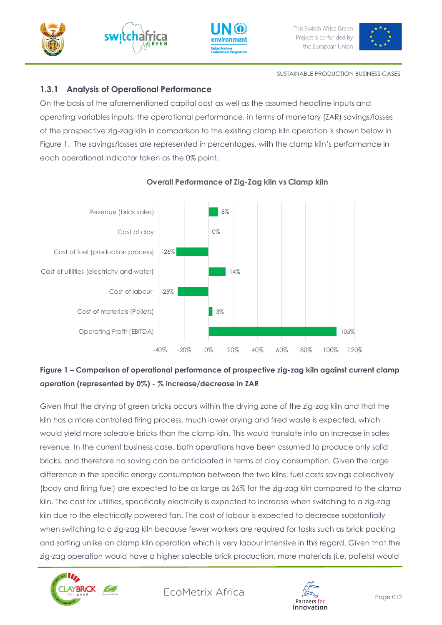







SUSTAINABLE PRODUCTION BUSINESS CASES

# <span id="page-11-0"></span>**1.3.1 Analysis of Operational Performance**

On the basis of the aforementioned capital cost as well as the assumed headline inputs and operating variables inputs, the operational performance, in terms of monetary (ZAR) savings/losses of the prospective zig-zag kiln in comparison to the existing clamp kiln operation is shown below in Figure 1. The savings/losses are represented in percentages, with the clamp kiln's performance in each operational indicator taken as the 0% point.



## **Overall Performance of Zig-Zag kiln vs Clamp kiln**

# **Figure 1 – Comparison of operational performance of prospective zig-zag kiln against current clamp operation (represented by 0%) - % increase/decrease in ZAR**

Given that the drying of green bricks occurs within the drying zone of the zig-zag kiln and that the kiln has a more controlled firing process, much lower drying and fired waste is expected, which would yield more saleable bricks than the clamp kiln. This would translate into an increase in sales revenue. In the current business case, both operations have been assumed to produce only solid bricks, and therefore no saving can be anticipated in terms of clay consumption. Given the large difference in the specific energy consumption between the two kilns, fuel costs savings collectively (body and firing fuel) are expected to be as large as 26% for the zig-zag kiln compared to the clamp kiln. The cost for utilities, specifically electricity is expected to increase when switching to a zig-zag kiln due to the electrically powered fan. The cost of labour is expected to decrease substantially when switching to a zig-zag kiln because fewer workers are required for tasks such as brick packing and sorting unlike on clamp kiln operation which is very labour intensive in this regard. Given that the zig-zag operation would have a higher saleable brick production, more materials (i.e. pallets) would



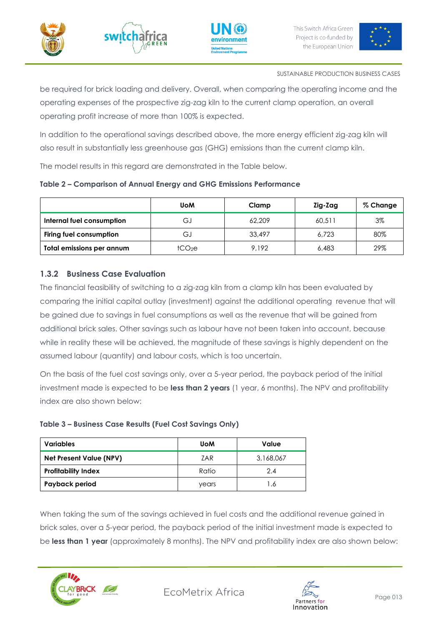







be required for brick loading and delivery. Overall, when comparing the operating income and the operating expenses of the prospective zig-zag kiln to the current clamp operation, an overall operating profit increase of more than 100% is expected.

In addition to the operational savings described above, the more energy efficient zig-zag kiln will also result in substantially less greenhouse gas (GHG) emissions than the current clamp kiln.

The model results in this regard are demonstrated in the Table below.

|  |  |  |  | Table 2 - Comparison of Annual Energy and GHG Emissions Performance |
|--|--|--|--|---------------------------------------------------------------------|
|  |  |  |  |                                                                     |

|                           | <b>UoM</b>         | Clamp  | Zig-Zag | % Change |
|---------------------------|--------------------|--------|---------|----------|
| Internal fuel consumption | G.                 | 62,209 | 60.511  | $3\%$    |
| Firing fuel consumption   | G.                 | 33,497 | 6.723   | 80%      |
| Total emissions per annum | tCO <sub>2</sub> e | 9.192  | 6,483   | 29%      |

## <span id="page-12-0"></span>**1.3.2 Business Case Evaluation**

The financial feasibility of switching to a zig-zag kiln from a clamp kiln has been evaluated by comparing the initial capital outlay (investment) against the additional operating revenue that will be gained due to savings in fuel consumptions as well as the revenue that will be gained from additional brick sales. Other savings such as labour have not been taken into account, because while in reality these will be achieved, the magnitude of these savings is highly dependent on the assumed labour (quantity) and labour costs, which is too uncertain.

On the basis of the fuel cost savings only, over a 5-year period, the payback period of the initial investment made is expected to be **less than 2 years** (1 year, 6 months). The NPV and profitability index are also shown below:

| <b>Variables</b>               | <b>UoM</b> | Value     |
|--------------------------------|------------|-----------|
| <b>Net Present Value (NPV)</b> | ZAR        | 3,168,067 |
| <b>Profitability Index</b>     | Ratio      | 2.4       |
| Payback period                 | years      | .6        |

## **Table 3 – Business Case Results (Fuel Cost Savings Only)**

When taking the sum of the savings achieved in fuel costs and the additional revenue gained in brick sales, over a 5-year period, the payback period of the initial investment made is expected to be **less than 1 year** (approximately 8 months). The NPV and profitability index are also shown below:



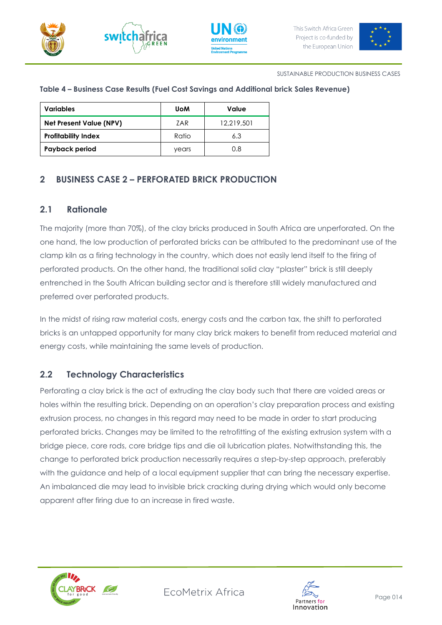







#### **Table 4 – Business Case Results (Fuel Cost Savings and Additional brick Sales Revenue)**

| <b>Variables</b>               | <b>UoM</b> | Value      |
|--------------------------------|------------|------------|
| <b>Net Present Value (NPV)</b> | ZAR        | 12.219.501 |
| <b>Profitability Index</b>     | Ratio      | 6.3        |
| Payback period                 | years      | 0.8        |

## <span id="page-13-0"></span>**2 BUSINESS CASE 2 – PERFORATED BRICK PRODUCTION**

## <span id="page-13-1"></span>**2.1 Rationale**

The majority (more than 70%), of the clay bricks produced in South Africa are unperforated. On the one hand, the low production of perforated bricks can be attributed to the predominant use of the clamp kiln as a firing technology in the country, which does not easily lend itself to the firing of perforated products. On the other hand, the traditional solid clay "plaster" brick is still deeply entrenched in the South African building sector and is therefore still widely manufactured and preferred over perforated products.

In the midst of rising raw material costs, energy costs and the carbon tax, the shift to perforated bricks is an untapped opportunity for many clay brick makers to benefit from reduced material and energy costs, while maintaining the same levels of production.

## <span id="page-13-2"></span>**2.2 Technology Characteristics**

Perforating a clay brick is the act of extruding the clay body such that there are voided areas or holes within the resulting brick. Depending on an operation's clay preparation process and existing extrusion process, no changes in this regard may need to be made in order to start producing perforated bricks. Changes may be limited to the retrofitting of the existing extrusion system with a bridge piece, core rods, core bridge tips and die oil lubrication plates. Notwithstanding this, the change to perforated brick production necessarily requires a step-by-step approach, preferably with the guidance and help of a local equipment supplier that can bring the necessary expertise. An imbalanced die may lead to invisible brick cracking during drying which would only become apparent after firing due to an increase in fired waste.



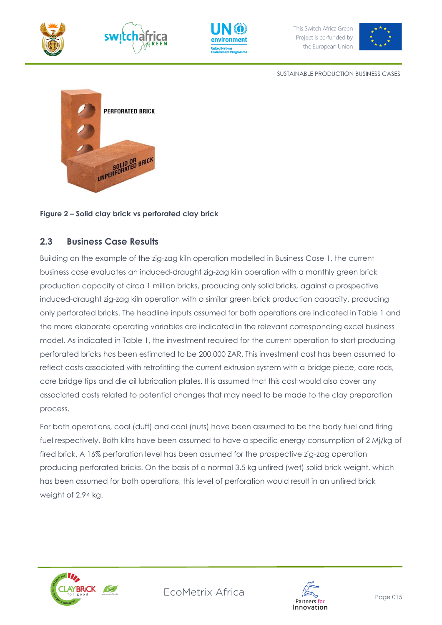







SUSTAINABLE PRODUCTION BUSINESS CASES



#### **Figure 2 – Solid clay brick vs perforated clay brick**

## <span id="page-14-0"></span>**2.3 Business Case Results**

Building on the example of the zig-zag kiln operation modelled in Business Case 1, the current business case evaluates an induced-draught zig-zag kiln operation with a monthly green brick production capacity of circa 1 million bricks, producing only solid bricks, against a prospective induced-draught zig-zag kiln operation with a similar green brick production capacity, producing only perforated bricks. The headline inputs assumed for both operations are indicated in Table 1 and the more elaborate operating variables are indicated in the relevant corresponding excel business model. As indicated in Table 1, the investment required for the current operation to start producing perforated bricks has been estimated to be 200,000 ZAR. This investment cost has been assumed to reflect costs associated with retrofitting the current extrusion system with a bridge piece, core rods, core bridge tips and die oil lubrication plates. It is assumed that this cost would also cover any associated costs related to potential changes that may need to be made to the clay preparation process.

For both operations, coal (duff) and coal (nuts) have been assumed to be the body fuel and firing fuel respectively. Both kilns have been assumed to have a specific energy consumption of 2 Mj/kg of fired brick. A 16% perforation level has been assumed for the prospective zig-zag operation producing perforated bricks. On the basis of a normal 3.5 kg unfired (wet) solid brick weight, which has been assumed for both operations, this level of perforation would result in an unfired brick weight of 2.94 kg.



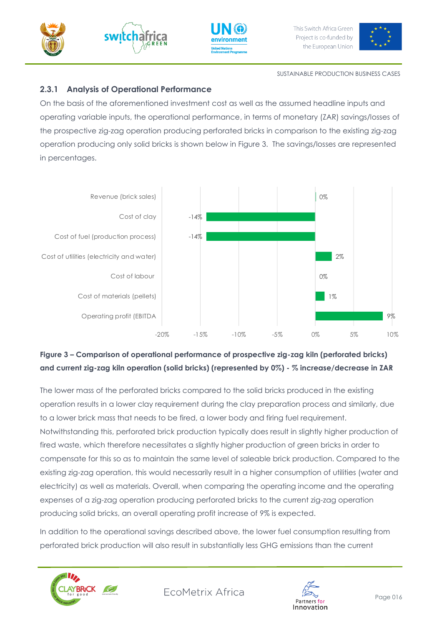





![](_page_15_Picture_4.jpeg)

SUSTAINABLE PRODUCTION BUSINESS CASES

# <span id="page-15-0"></span>**2.3.1 Analysis of Operational Performance**

On the basis of the aforementioned investment cost as well as the assumed headline inputs and operating variable inputs, the operational performance, in terms of monetary (ZAR) savings/losses of the prospective zig-zag operation producing perforated bricks in comparison to the existing zig-zag operation producing only solid bricks is shown below in Figure 3. The savings/losses are represented in percentages.

![](_page_15_Figure_8.jpeg)

# **Figure 3 – Comparison of operational performance of prospective zig-zag kiln (perforated bricks) and current zig-zag kiln operation (solid bricks) (represented by 0%) - % increase/decrease in ZAR**

The lower mass of the perforated bricks compared to the solid bricks produced in the existing operation results in a lower clay requirement during the clay preparation process and similarly, due to a lower brick mass that needs to be fired, a lower body and firing fuel requirement. Notwithstanding this, perforated brick production typically does result in slightly higher production of fired waste, which therefore necessitates a slightly higher production of green bricks in order to compensate for this so as to maintain the same level of saleable brick production. Compared to the existing zig-zag operation, this would necessarily result in a higher consumption of utilities (water and electricity) as well as materials. Overall, when comparing the operating income and the operating expenses of a zig-zag operation producing perforated bricks to the current zig-zag operation producing solid bricks, an overall operating profit increase of 9% is expected.

In addition to the operational savings described above, the lower fuel consumption resulting from perforated brick production will also result in substantially less GHG emissions than the current

![](_page_15_Picture_12.jpeg)

![](_page_15_Picture_14.jpeg)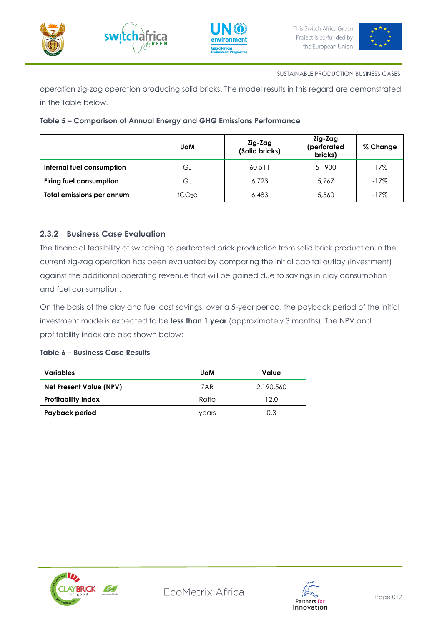![](_page_16_Picture_0.jpeg)

![](_page_16_Picture_1.jpeg)

![](_page_16_Picture_2.jpeg)

![](_page_16_Picture_4.jpeg)

operation zig-zag operation producing solid bricks. The model results in this regard are demonstrated in the Table below.

|                                  | <b>UoM</b>         | Zig-Zag<br>(Solid bricks) | Zig-Zag<br>(perforated<br>bricks) | % Change |
|----------------------------------|--------------------|---------------------------|-----------------------------------|----------|
| Internal fuel consumption        | GJ                 | 60.511                    | 51,900                            | $-17\%$  |
| <b>Firing fuel consumption</b>   | G.I                | 6.723                     | 5.767                             | $-17%$   |
| <b>Total emissions per annum</b> | tCO <sub>2</sub> e | 6,483                     | 5,560                             | $-17%$   |

## **Table 5 – Comparison of Annual Energy and GHG Emissions Performance**

## <span id="page-16-0"></span>**2.3.2 Business Case Evaluation**

The financial feasibility of switching to perforated brick production from solid brick production in the current zig-zag operation has been evaluated by comparing the initial capital outlay (investment) against the additional operating revenue that will be gained due to savings in clay consumption and fuel consumption.

On the basis of the clay and fuel cost savings, over a 5-year period, the payback period of the initial investment made is expected to be **less than 1 year** (approximately 3 months). The NPV and profitability index are also shown below:

## **Table 6 – Business Case Results**

| Variables                      | <b>UoM</b> | Value     |
|--------------------------------|------------|-----------|
| <b>Net Present Value (NPV)</b> | ZAR        | 2,190,560 |
| <b>Profitability Index</b>     | Ratio      | 12.0      |
| Payback period                 | years      | 0.3       |

![](_page_16_Picture_14.jpeg)

![](_page_16_Picture_16.jpeg)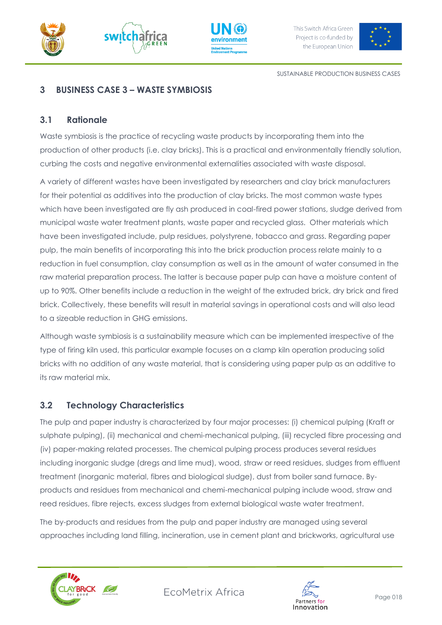![](_page_17_Picture_0.jpeg)

![](_page_17_Picture_1.jpeg)

![](_page_17_Picture_2.jpeg)

![](_page_17_Picture_4.jpeg)

SUSTAINABLE PRODUCTION BUSINESS CASES

## <span id="page-17-0"></span>**3 BUSINESS CASE 3 – WASTE SYMBIOSIS**

### <span id="page-17-1"></span>**3.1 Rationale**

Waste symbiosis is the practice of recycling waste products by incorporating them into the production of other products (i.e. clay bricks). This is a practical and environmentally friendly solution, curbing the costs and negative environmental externalities associated with waste disposal.

A variety of different wastes have been investigated by researchers and clay brick manufacturers for their potential as additives into the production of clay bricks. The most common waste types which have been investigated are fly ash produced in coal-fired power stations, sludge derived from municipal waste water treatment plants, waste paper and recycled glass. Other materials which have been investigated include, pulp residues, polystyrene, tobacco and grass. Regarding paper pulp, the main benefits of incorporating this into the brick production process relate mainly to a reduction in fuel consumption, clay consumption as well as in the amount of water consumed in the raw material preparation process. The latter is because paper pulp can have a moisture content of up to 90%. Other benefits include a reduction in the weight of the extruded brick, dry brick and fired brick. Collectively, these benefits will result in material savings in operational costs and will also lead to a sizeable reduction in GHG emissions.

Although waste symbiosis is a sustainability measure which can be implemented irrespective of the type of firing kiln used, this particular example focuses on a clamp kiln operation producing solid bricks with no addition of any waste material, that is considering using paper pulp as an additive to its raw material mix.

## <span id="page-17-2"></span>**3.2 Technology Characteristics**

The pulp and paper industry is characterized by four major processes: (i) chemical pulping (Kraft or sulphate pulping), (ii) mechanical and chemi-mechanical pulping, (iii) recycled fibre processing and (iv) paper-making related processes. The chemical pulping process produces several residues including inorganic sludge (dregs and lime mud), wood, straw or reed residues, sludges from effluent treatment (inorganic material, fibres and biological sludge), dust from boiler sand furnace. Byproducts and residues from mechanical and chemi-mechanical pulping include wood, straw and reed residues, fibre rejects, excess sludges from external biological waste water treatment.

The by-products and residues from the pulp and paper industry are managed using several approaches including land filling, incineration, use in cement plant and brickworks, agricultural use

![](_page_17_Picture_14.jpeg)

![](_page_17_Picture_16.jpeg)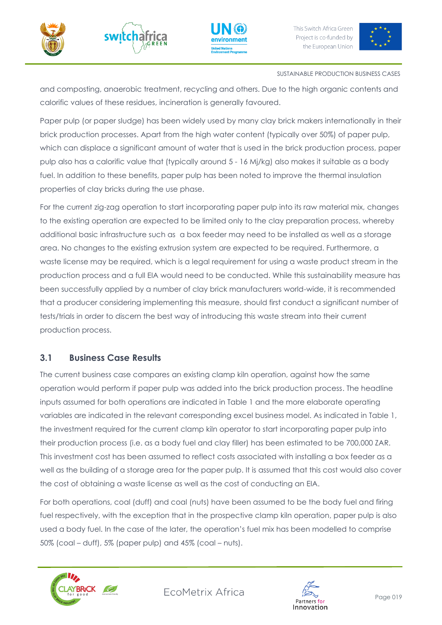![](_page_18_Picture_0.jpeg)

![](_page_18_Picture_1.jpeg)

![](_page_18_Picture_2.jpeg)

![](_page_18_Picture_4.jpeg)

#### SUSTAINABLE PRODUCTION BUSINESS CASES

and composting, anaerobic treatment, recycling and others. Due to the high organic contents and calorific values of these residues, incineration is generally favoured.

Paper pulp (or paper sludge) has been widely used by many clay brick makers internationally in their brick production processes. Apart from the high water content (typically over 50%) of paper pulp, which can displace a significant amount of water that is used in the brick production process, paper pulp also has a calorific value that (typically around 5 - 16 Mj/kg) also makes it suitable as a body fuel. In addition to these benefits, paper pulp has been noted to improve the thermal insulation properties of clay bricks during the use phase.

For the current zig-zag operation to start incorporating paper pulp into its raw material mix, changes to the existing operation are expected to be limited only to the clay preparation process, whereby additional basic infrastructure such as a box feeder may need to be installed as well as a storage area. No changes to the existing extrusion system are expected to be required. Furthermore, a waste license may be required, which is a legal requirement for using a waste product stream in the production process and a full EIA would need to be conducted. While this sustainability measure has been successfully applied by a number of clay brick manufacturers world-wide, it is recommended that a producer considering implementing this measure, should first conduct a significant number of tests/trials in order to discern the best way of introducing this waste stream into their current production process.

## <span id="page-18-0"></span>**3.1 Business Case Results**

The current business case compares an existing clamp kiln operation, against how the same operation would perform if paper pulp was added into the brick production process. The headline inputs assumed for both operations are indicated in Table 1 and the more elaborate operating variables are indicated in the relevant corresponding excel business model. As indicated in Table 1, the investment required for the current clamp kiln operator to start incorporating paper pulp into their production process (i.e. as a body fuel and clay filler) has been estimated to be 700,000 ZAR. This investment cost has been assumed to reflect costs associated with installing a box feeder as a well as the building of a storage area for the paper pulp. It is assumed that this cost would also cover the cost of obtaining a waste license as well as the cost of conducting an EIA.

For both operations, coal (duff) and coal (nuts) have been assumed to be the body fuel and firing fuel respectively, with the exception that in the prospective clamp kiln operation, paper pulp is also used a body fuel. In the case of the later, the operation's fuel mix has been modelled to comprise 50% (coal – duff), 5% (paper pulp) and 45% (coal – nuts).

![](_page_18_Picture_12.jpeg)

![](_page_18_Picture_14.jpeg)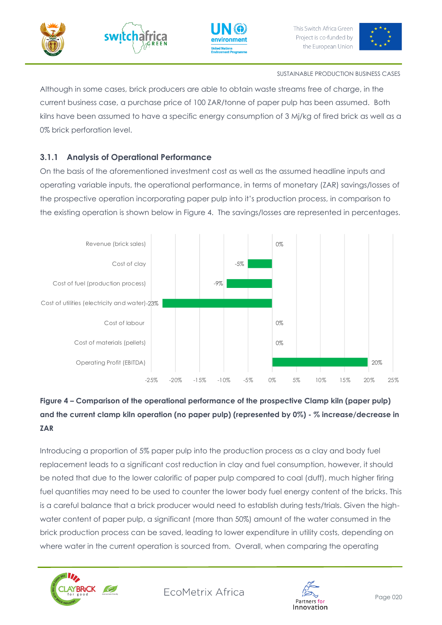![](_page_19_Picture_0.jpeg)

![](_page_19_Picture_1.jpeg)

![](_page_19_Picture_2.jpeg)

![](_page_19_Picture_4.jpeg)

#### SUSTAINABLE PRODUCTION BUSINESS CASES

Although in some cases, brick producers are able to obtain waste streams free of charge, in the current business case, a purchase price of 100 ZAR/tonne of paper pulp has been assumed. Both kilns have been assumed to have a specific energy consumption of 3 Mj/kg of fired brick as well as a 0% brick perforation level.

## <span id="page-19-0"></span>**3.1.1 Analysis of Operational Performance**

On the basis of the aforementioned investment cost as well as the assumed headline inputs and operating variable inputs, the operational performance, in terms of monetary (ZAR) savings/losses of the prospective operation incorporating paper pulp into it's production process, in comparison to the existing operation is shown below in Figure 4. The savings/losses are represented in percentages.

![](_page_19_Figure_9.jpeg)

# **Figure 4 – Comparison of the operational performance of the prospective Clamp kiln (paper pulp) and the current clamp kiln operation (no paper pulp) (represented by 0%) - % increase/decrease in ZAR**

Introducing a proportion of 5% paper pulp into the production process as a clay and body fuel replacement leads to a significant cost reduction in clay and fuel consumption, however, it should be noted that due to the lower calorific of paper pulp compared to coal (duff), much higher firing fuel quantities may need to be used to counter the lower body fuel energy content of the bricks. This is a careful balance that a brick producer would need to establish during tests/trials. Given the highwater content of paper pulp, a significant (more than 50%) amount of the water consumed in the brick production process can be saved, leading to lower expenditure in utility costs, depending on where water in the current operation is sourced from. Overall, when comparing the operating

![](_page_19_Picture_12.jpeg)

![](_page_19_Picture_14.jpeg)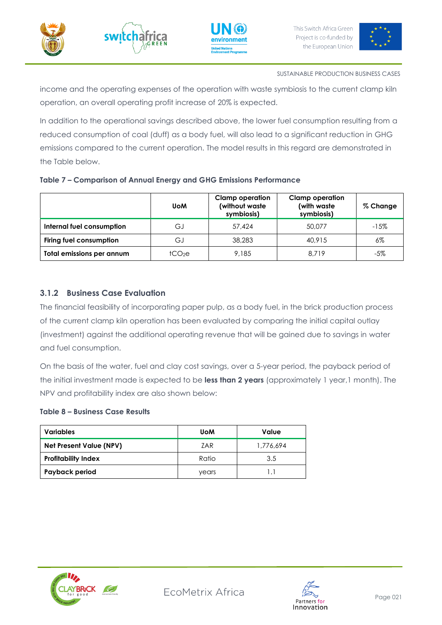![](_page_20_Picture_0.jpeg)

![](_page_20_Picture_1.jpeg)

![](_page_20_Picture_2.jpeg)

![](_page_20_Picture_4.jpeg)

income and the operating expenses of the operation with waste symbiosis to the current clamp kiln operation, an overall operating profit increase of 20% is expected.

In addition to the operational savings described above, the lower fuel consumption resulting from a reduced consumption of coal (duff) as a body fuel, will also lead to a significant reduction in GHG emissions compared to the current operation. The model results in this regard are demonstrated in the Table below.

|                           | <b>UoM</b>       | <b>Clamp operation</b><br>(without waste<br>symbiosis) | <b>Clamp operation</b><br>(with waste<br>symbiosis) | % Change |
|---------------------------|------------------|--------------------------------------------------------|-----------------------------------------------------|----------|
| Internal fuel consumption | G.               | 57,424                                                 | 50,077                                              | $-15%$   |
| Firing fuel consumption   | G.               | 38,283                                                 | 40.915                                              | $6\%$    |
| Total emissions per annum | tCO <sub>2</sub> | 9,185                                                  | 8.719                                               | -5%      |

#### **Table 7 – Comparison of Annual Energy and GHG Emissions Performance**

## <span id="page-20-0"></span>**3.1.2 Business Case Evaluation**

The financial feasibility of incorporating paper pulp, as a body fuel, in the brick production process of the current clamp kiln operation has been evaluated by comparing the initial capital outlay (investment) against the additional operating revenue that will be gained due to savings in water and fuel consumption.

On the basis of the water, fuel and clay cost savings, over a 5-year period, the payback period of the initial investment made is expected to be **less than 2 years** (approximately 1 year,1 month). The NPV and profitability index are also shown below:

#### **Table 8 – Business Case Results**

| <b>Variables</b>               | <b>UoM</b> | Value     |
|--------------------------------|------------|-----------|
| <b>Net Present Value (NPV)</b> | 7AR        | 1,776,694 |
| <b>Profitability Index</b>     | Ratio      | 3.5       |
| Payback period                 | vears      |           |

![](_page_20_Picture_15.jpeg)

![](_page_20_Picture_17.jpeg)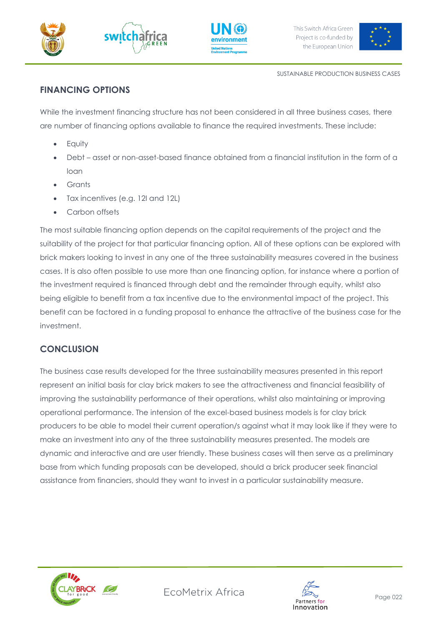![](_page_21_Picture_0.jpeg)

![](_page_21_Picture_1.jpeg)

![](_page_21_Picture_3.jpeg)

SUSTAINABLE PRODUCTION BUSINESS CASES

# <span id="page-21-0"></span>**FINANCING OPTIONS**

While the investment financing structure has not been considered in all three business cases, there are number of financing options available to finance the required investments. These include:

- **Equity**
- Debt asset or non-asset-based finance obtained from a financial institution in the form of a loan
- Grants
- Tax incentives (e.g. 12I and 12L)
- Carbon offsets

The most suitable financing option depends on the capital requirements of the project and the suitability of the project for that particular financing option. All of these options can be explored with brick makers looking to invest in any one of the three sustainability measures covered in the business cases. It is also often possible to use more than one financing option, for instance where a portion of the investment required is financed through debt and the remainder through equity, whilst also being eligible to benefit from a tax incentive due to the environmental impact of the project. This benefit can be factored in a funding proposal to enhance the attractive of the business case for the investment.

# <span id="page-21-1"></span>**CONCLUSION**

The business case results developed for the three sustainability measures presented in this report represent an initial basis for clay brick makers to see the attractiveness and financial feasibility of improving the sustainability performance of their operations, whilst also maintaining or improving operational performance. The intension of the excel-based business models is for clay brick producers to be able to model their current operation/s against what it may look like if they were to make an investment into any of the three sustainability measures presented. The models are dynamic and interactive and are user friendly. These business cases will then serve as a preliminary base from which funding proposals can be developed, should a brick producer seek financial assistance from financiers, should they want to invest in a particular sustainability measure.

![](_page_21_Picture_15.jpeg)

![](_page_21_Picture_17.jpeg)